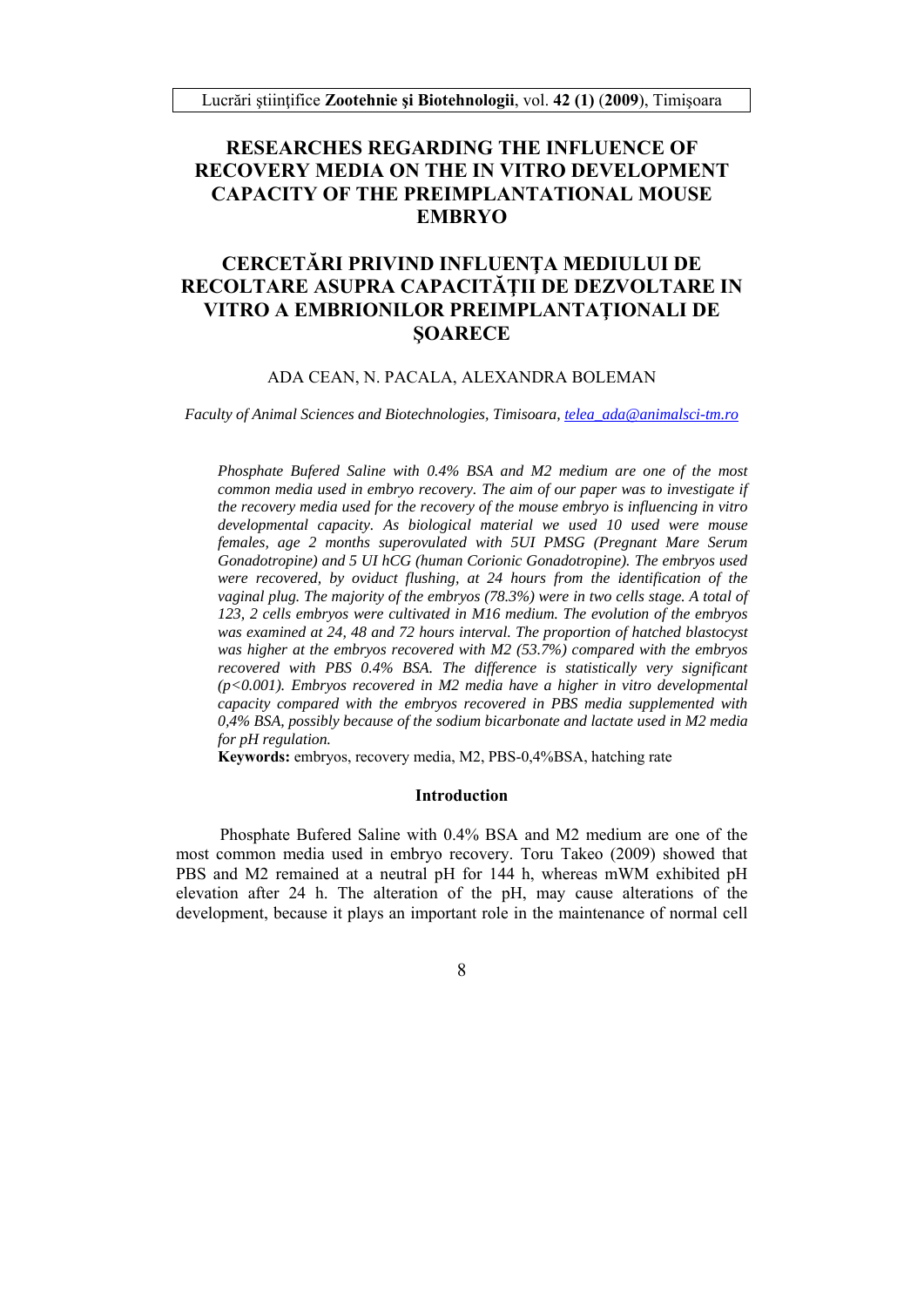## **RESEARCHES REGARDING THE INFLUENCE OF RECOVERY MEDIA ON THE IN VITRO DEVELOPMENT CAPACITY OF THE PREIMPLANTATIONAL MOUSE EMBRYO**

# CERCETĂRI PRIVIND INFLUENTA MEDIULUI DE RECOLTARE ASUPRA CAPACITĂTII DE DEZVOLTARE IN VITRO A EMBRIONILOR PREIMPLANTAȚIONALI DE **SOARECE**

### ADA CEAN, N. PACALA, ALEXANDRA BOLEMAN

Faculty of Animal Sciences and Biotechnologies, Timisoara, telea ada@animalsci-tm.ro

Phosphate Bufered Saline with 0.4% BSA and M2 medium are one of the most common media used in embryo recovery. The aim of our paper was to investigate if the recovery media used for the recovery of the mouse embryo is influencing in vitro developmental capacity. As biological material we used 10 used were mouse females, age 2 months superovulated with 5UI PMSG (Pregnant Mare Serum Gonadotropine) and 5 UI hCG (human Corionic Gonadotropine). The embryos used were recovered, by oviduct flushing, at 24 hours from the identification of the vaginal plug. The majority of the embryos (78.3%) were in two cells stage. A total of 123, 2 cells embryos were cultivated in M16 medium. The evolution of the embryos was examined at 24, 48 and 72 hours interval. The proportion of hatched blastocyst was higher at the embryos recovered with M2 (53.7%) compared with the embryos recovered with PBS 0.4% BSA. The difference is statistically very significant  $(p<0.001)$ . Embryos recovered in M2 media have a higher in vitro developmental capacity compared with the embryos recovered in PBS media supplemented with 0,4% BSA, possibly because of the sodium bicarbonate and lactate used in M2 media for pH regulation.

Keywords: embryos, recovery media, M2, PBS-0,4%BSA, hatching rate

#### **Introduction**

Phosphate Bufered Saline with 0.4% BSA and M2 medium are one of the most common media used in embryo recovery. Toru Takeo (2009) showed that PBS and M2 remained at a neutral pH for 144 h, whereas mWM exhibited pH elevation after 24 h. The alteration of the pH, may cause alterations of the development, because it plays an important role in the maintenance of normal cell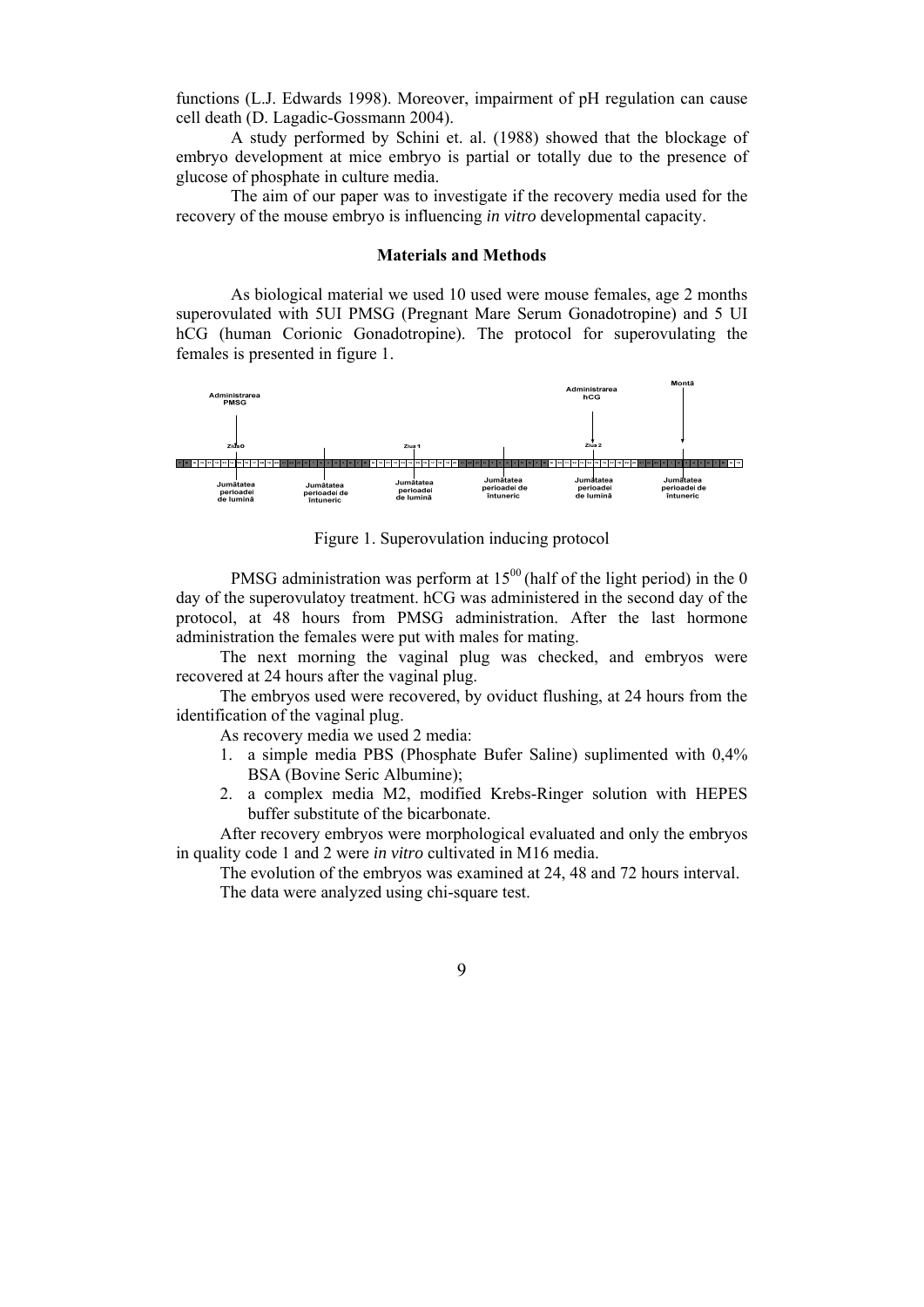functions (L.J. Edwards 1998). Moreover, impairment of pH regulation can cause cell death (D. Lagadic-Gossmann 2004).

 A study performed by Schini et. al. (1988) showed that the blockage of embryo development at mice embryo is partial or totally due to the presence of glucose of phosphate in culture media.

 The aim of our paper was to investigate if the recovery media used for the recovery of the mouse embryo is influencing *in vitro* developmental capacity.

#### **Materials and Methods**

 As biological material we used 10 used were mouse females, age 2 months superovulated with 5UI PMSG (Pregnant Mare Serum Gonadotropine) and 5 UI hCG (human Corionic Gonadotropine). The protocol for superovulating the females is presented in figure 1.



Figure 1. Superovulation inducing protocol

PMSG administration was perform at  $15^{00}$  (half of the light period) in the 0 day of the superovulatoy treatment. hCG was administered in the second day of the protocol, at 48 hours from PMSG administration. After the last hormone administration the females were put with males for mating.

The next morning the vaginal plug was checked, and embryos were recovered at 24 hours after the vaginal plug.

The embryos used were recovered, by oviduct flushing, at 24 hours from the identification of the vaginal plug.

As recovery media we used 2 media:

- 1. a simple media PBS (Phosphate Bufer Saline) suplimented with 0,4% BSA (Bovine Seric Albumine);
- 2. a complex media M2, modified Krebs-Ringer solution with HEPES buffer substitute of the bicarbonate.

After recovery embryos were morphological evaluated and only the embryos in quality code 1 and 2 were *in vitro* cultivated in M16 media.

The evolution of the embryos was examined at 24, 48 and 72 hours interval. The data were analyzed using chi-square test.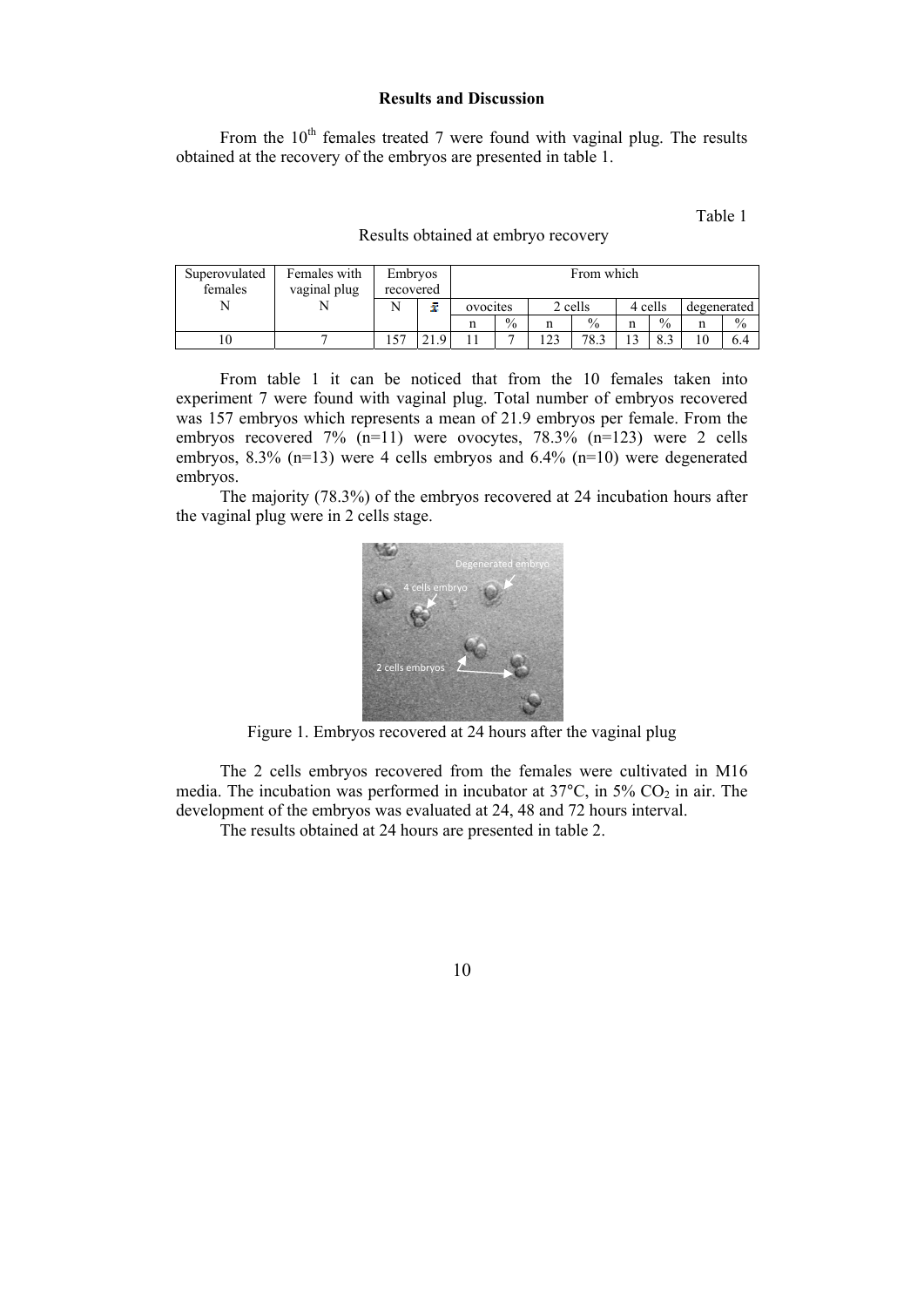## **Results and Discussion**

From the  $10<sup>th</sup>$  females treated 7 were found with vaginal plug. The results obtained at the recovery of the embryos are presented in table 1.

Table 1

| Superovulated<br>females | Females with<br>vaginal plug | Embryos<br>recovered |          | From which |               |         |      |                |               |             |      |  |
|--------------------------|------------------------------|----------------------|----------|------------|---------------|---------|------|----------------|---------------|-------------|------|--|
|                          |                              |                      | £        | ovocites   |               | 2 cells |      | 4 cells        |               | degenerated |      |  |
|                          |                              |                      |          | n          | $\frac{0}{0}$ | n       | $\%$ | n              | $\frac{0}{0}$ | n           | $\%$ |  |
| 10                       |                              | 57ء                  | $\Omega$ |            | -             | 23      | 78.3 | 1 <sub>2</sub> | 8.3           | 10          | 6.4  |  |

Results obtained at embryo recovery

From table 1 it can be noticed that from the 10 females taken into experiment 7 were found with vaginal plug. Total number of embryos recovered was 157 embryos which represents a mean of 21.9 embryos per female. From the embryos recovered 7% (n=11) were ovocytes, 78.3% (n=123) were 2 cells embryos, 8.3% (n=13) were 4 cells embryos and 6.4% (n=10) were degenerated embryos.

The majority (78.3%) of the embryos recovered at 24 incubation hours after the vaginal plug were in 2 cells stage.



Figure 1. Embryos recovered at 24 hours after the vaginal plug

The 2 cells embryos recovered from the females were cultivated in M16 media. The incubation was performed in incubator at  $37^{\circ}$ C, in  $5\%$  CO<sub>2</sub> in air. The development of the embryos was evaluated at 24, 48 and 72 hours interval.

The results obtained at 24 hours are presented in table 2.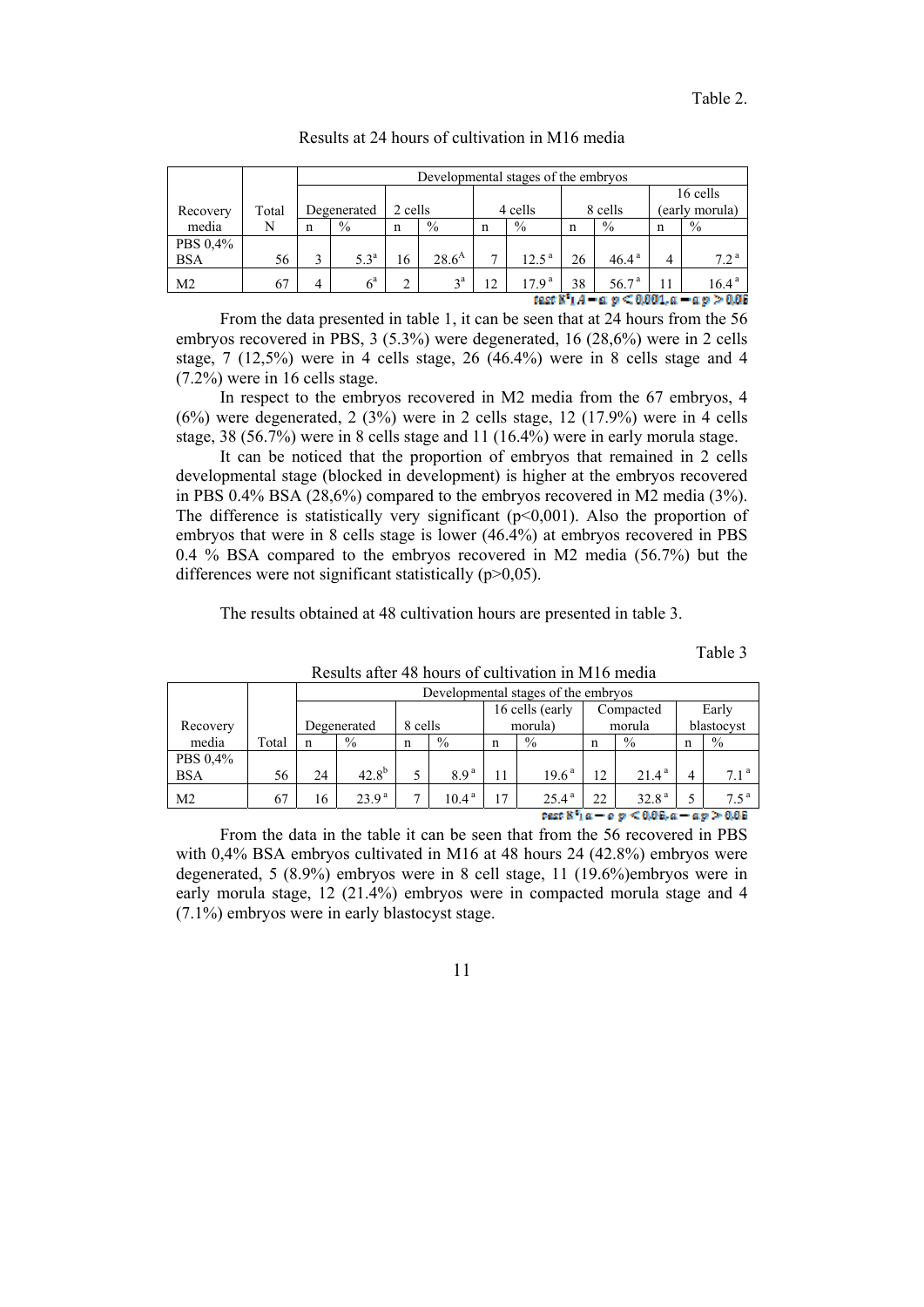|                |                                                       |             | Developmental stages of the embryos |           |                |    |                   |    |                   |          |                   |  |  |
|----------------|-------------------------------------------------------|-------------|-------------------------------------|-----------|----------------|----|-------------------|----|-------------------|----------|-------------------|--|--|
|                |                                                       |             |                                     |           |                |    |                   |    |                   | 16 cells |                   |  |  |
| Recovery       | Total                                                 | Degenerated |                                     |           | 2 cells        |    | 4 cells           |    | 8 cells           |          | (early morula)    |  |  |
| media          | N                                                     | n           | $\frac{0}{0}$                       | $\%$<br>n |                | n  | $\%$              | n  | $\frac{0}{0}$     | n        | $\%$              |  |  |
| PBS 0,4%       |                                                       |             |                                     |           |                |    |                   |    |                   |          |                   |  |  |
| <b>BSA</b>     | 56                                                    |             | $5.3^{\rm a}$                       | 16        | $28.6^{\rm A}$ | ⇁  | $12.5^{\text{a}}$ | 26 | $46.4^{\text{a}}$ | 4        | 7.2 <sup>a</sup>  |  |  |
| M <sub>2</sub> | 67                                                    | 4           | $6^{\circ}$                         | $\bigcap$ | 2 <sup>a</sup> | 12 | 17.9 <sup>a</sup> | 38 | 56.7 <sup>a</sup> |          | 16.4 <sup>a</sup> |  |  |
|                | $test 8^4$ 1 $A - a$ $p < 0.001$ , $a - a$ $p > 0.05$ |             |                                     |           |                |    |                   |    |                   |          |                   |  |  |

Results at 24 hours of cultivation in M16 media

From the data presented in table 1, it can be seen that at 24 hours from the 56 embryos recovered in PBS, 3 (5.3%) were degenerated, 16 (28,6%) were in 2 cells stage, 7 (12,5%) were in 4 cells stage, 26 (46.4%) were in 8 cells stage and 4 (7.2%) were in 16 cells stage.

In respect to the embryos recovered in M2 media from the 67 embryos, 4  $(6\%)$  were degenerated, 2 (3%) were in 2 cells stage, 12 (17.9%) were in 4 cells stage, 38 (56.7%) were in 8 cells stage and 11 (16.4%) were in early morula stage.

It can be noticed that the proportion of embryos that remained in 2 cells developmental stage (blocked in development) is higher at the embryos recovered in PBS 0.4% BSA (28,6%) compared to the embryos recovered in M2 media (3%). The difference is statistically very significant  $(p<0,001)$ . Also the proportion of embryos that were in 8 cells stage is lower (46.4%) at embryos recovered in PBS 0.4 % BSA compared to the embryos recovered in M2 media (56.7%) but the differences were not significant statistically (p>0,05).

The results obtained at 48 cultivation hours are presented in table 3.

Table 3

|                |                                                   |    | Developmental stages of the embryos |                    |                   |         |                   |                    |                   |            |                  |
|----------------|---------------------------------------------------|----|-------------------------------------|--------------------|-------------------|---------|-------------------|--------------------|-------------------|------------|------------------|
|                |                                                   |    |                                     | 16 cells (early    |                   |         | Compacted         |                    | Early             |            |                  |
| Recovery       |                                                   |    | Degenerated                         | 8 cells            |                   | morula) |                   | morula             |                   | blastocyst |                  |
| media          | Total                                             | n  | $\frac{0}{0}$                       | $\frac{0}{0}$<br>n |                   | n       | $\%$              | $\frac{0}{0}$<br>n |                   | n          | $\frac{0}{0}$    |
| PBS 0.4%       |                                                   |    |                                     |                    |                   |         |                   |                    |                   |            |                  |
| <b>BSA</b>     | 56                                                | 24 | $42.8^{b}$                          |                    | 8.9 <sup>a</sup>  | 11      | $19.6^{\text{a}}$ | 12                 | 21.4 <sup>a</sup> | 4          | 7.1 <sup>a</sup> |
| M <sub>2</sub> | 67                                                | 16 | 23.9 <sup>a</sup>                   |                    | 10.4 <sup>a</sup> | 17      | $25.4^{\text{a}}$ | 22                 | 32.8 <sup>a</sup> |            | 7.5 <sup>a</sup> |
|                | test N <sup>2</sup> 1a - e v < 0.05.a - av > 0.05 |    |                                     |                    |                   |         |                   |                    |                   |            |                  |

Results after 48 hours of cultivation in M16 media

From the data in the table it can be seen that from the 56 recovered in PBS with 0,4% BSA embryos cultivated in M16 at 48 hours 24 (42.8%) embryos were degenerated, 5 (8.9%) embryos were in 8 cell stage, 11 (19.6%)embryos were in early morula stage, 12 (21.4%) embryos were in compacted morula stage and 4 (7.1%) embryos were in early blastocyst stage.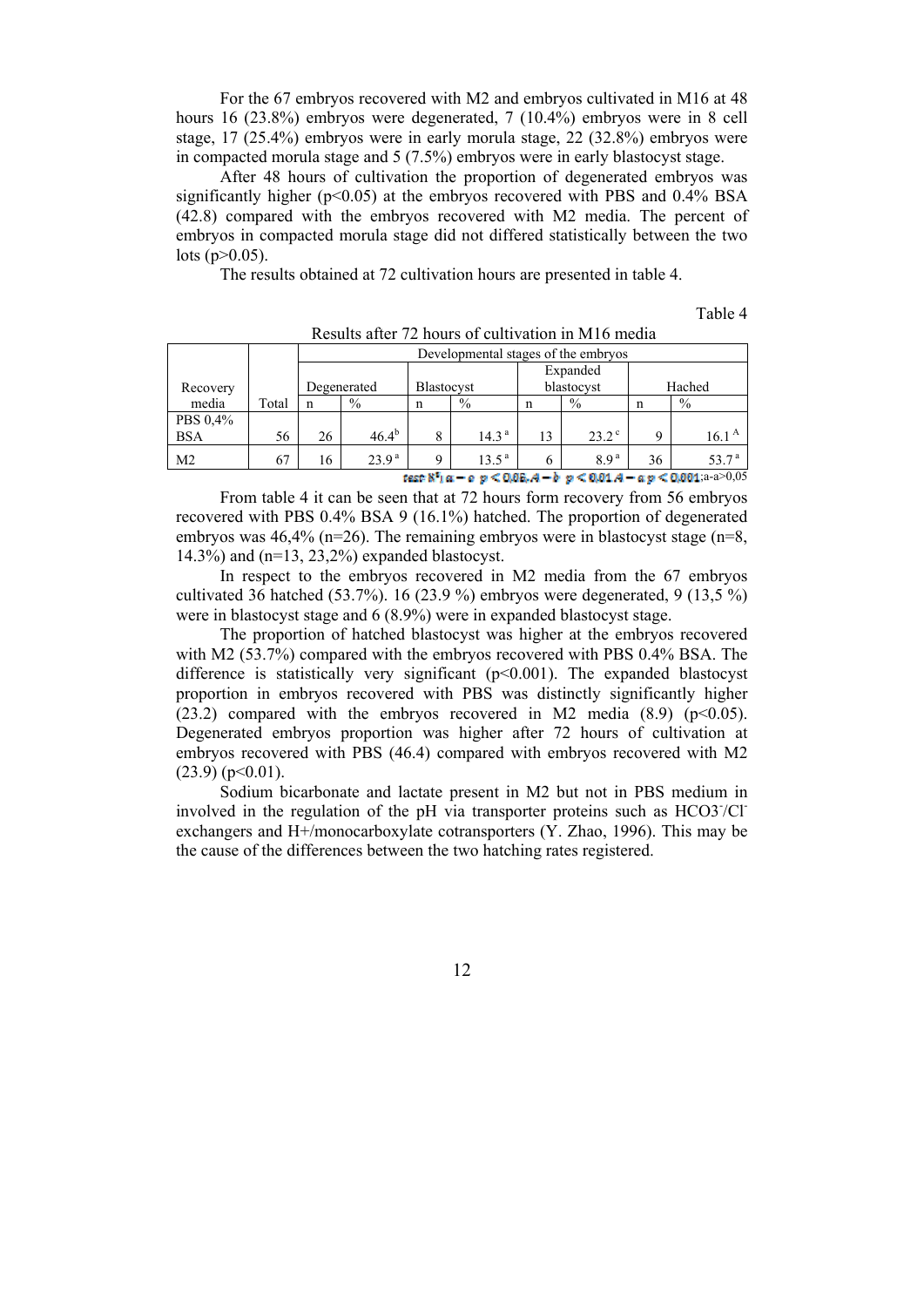For the 67 embryos recovered with M2 and embryos cultivated in M16 at 48 hours 16 (23.8%) embryos were degenerated, 7 (10.4%) embryos were in 8 cell stage, 17 (25.4%) embryos were in early morula stage, 22 (32.8%) embryos were in compacted morula stage and 5 (7.5%) embryos were in early blastocyst stage.

After 48 hours of cultivation the proportion of degenerated embryos was significantly higher ( $p<0.05$ ) at the embryos recovered with PBS and 0.4% BSA (42.8) compared with the embryos recovered with M2 media. The percent of embryos in compacted morula stage did not differed statistically between the two  $\log (p > 0.05)$ .

The results obtained at 72 cultivation hours are presented in table 4.

Table 4

|                                                                                                                                                                                                                                                                                                            |       |    | Developmental stages of the embryos |                   |                   |    |                  |        |                   |  |  |  |
|------------------------------------------------------------------------------------------------------------------------------------------------------------------------------------------------------------------------------------------------------------------------------------------------------------|-------|----|-------------------------------------|-------------------|-------------------|----|------------------|--------|-------------------|--|--|--|
|                                                                                                                                                                                                                                                                                                            |       |    |                                     |                   |                   |    | Expanded         |        |                   |  |  |  |
| Recovery                                                                                                                                                                                                                                                                                                   |       |    | Degenerated                         | <b>Blastocyst</b> |                   |    | blastocyst       | Hached |                   |  |  |  |
| media                                                                                                                                                                                                                                                                                                      | Total | n  | $\%$                                | n                 | $\%$              | n  | $\%$             | n      | $\frac{0}{0}$     |  |  |  |
| PBS 0.4%                                                                                                                                                                                                                                                                                                   |       |    |                                     |                   |                   |    |                  |        |                   |  |  |  |
| <b>BSA</b>                                                                                                                                                                                                                                                                                                 | 56    | 26 | $46.4^{b}$                          | 8                 | 14.3 <sup>a</sup> | 13 | $23.2^{\circ}$   | Q      | $16.1^{\text{A}}$ |  |  |  |
| M <sub>2</sub>                                                                                                                                                                                                                                                                                             | 67    | 16 | 23.9 <sup>a</sup>                   | $\Omega$          | $13.5^{\text{a}}$ | 6  | 8.9 <sup>a</sup> | 36     | 53.7 <sup>a</sup> |  |  |  |
| $\sim 0.05$<br><b>Contract Contract Contract Contract Contract</b><br><b>The contract of the contract of the contract of the contract of the contract of the contract of the contract of the contract of the contract of the contract of the contract of the contract of the contract of the contract </b> |       |    |                                     |                   |                   |    |                  |        |                   |  |  |  |

Results after 72 hours of cultivation in M16 media

test: 8"1 a = a p < 0,06, A = b p < 0,01 A = a p < 0,001, a a>0,05

From table 4 it can be seen that at 72 hours form recovery from 56 embryos recovered with PBS 0.4% BSA 9 (16.1%) hatched. The proportion of degenerated embryos was  $46,4\%$  (n=26). The remaining embryos were in blastocyst stage (n=8, 14.3%) and (n=13, 23,2%) expanded blastocyst.

In respect to the embryos recovered in M2 media from the 67 embryos cultivated 36 hatched (53.7%). 16 (23.9 %) embryos were degenerated, 9 (13,5 %) were in blastocyst stage and 6 (8.9%) were in expanded blastocyst stage.

The proportion of hatched blastocyst was higher at the embryos recovered with M2 (53.7%) compared with the embryos recovered with PBS 0.4% BSA. The difference is statistically very significant  $(p<0.001)$ . The expanded blastocyst proportion in embryos recovered with PBS was distinctly significantly higher (23.2) compared with the embryos recovered in M2 media (8.9) ( $p<0.05$ ). Degenerated embryos proportion was higher after 72 hours of cultivation at embryos recovered with PBS (46.4) compared with embryos recovered with M2  $(23.9)$  (p  $0.01$ ).

Sodium bicarbonate and lactate present in M2 but not in PBS medium in involved in the regulation of the pH via transporter proteins such as HCO3 / Cl exchangers and H+/monocarboxylate cotransporters (Y. Zhao, 1996). This may be the cause of the differences between the two hatching rates registered.